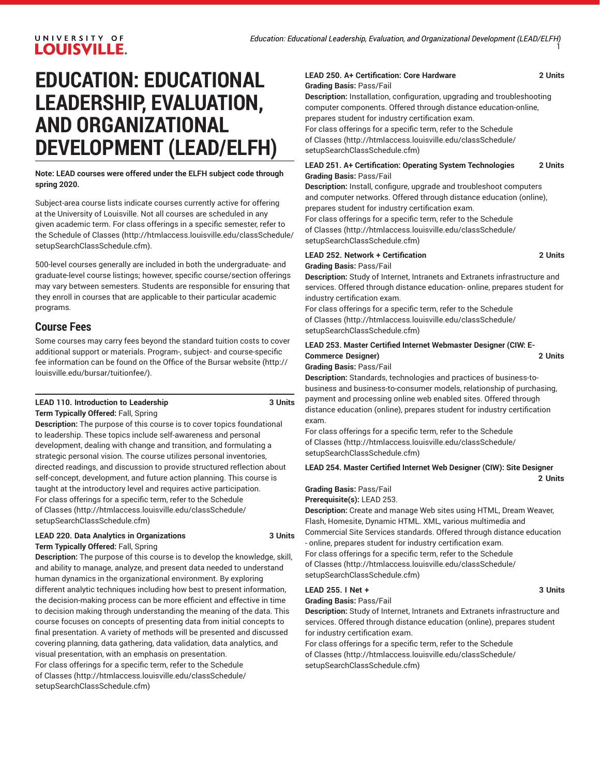# **EDUCATION: EDUCATIONAL LEADERSHIP, EVALUATION, AND ORGANIZATIONAL DEVELOPMENT (LEAD/ELFH)**

**Note: LEAD courses were offered under the ELFH subject code through spring 2020.**

Subject-area course lists indicate courses currently active for offering at the University of Louisville. Not all courses are scheduled in any given academic term. For class offerings in a specific semester, refer to the [Schedule of Classes](http://htmlaccess.louisville.edu/classSchedule/setupSearchClassSchedule.cfm) ([http://htmlaccess.louisville.edu/classSchedule/](http://htmlaccess.louisville.edu/classSchedule/setupSearchClassSchedule.cfm) [setupSearchClassSchedule.cfm\)](http://htmlaccess.louisville.edu/classSchedule/setupSearchClassSchedule.cfm).

500-level courses generally are included in both the undergraduate- and graduate-level course listings; however, specific course/section offerings may vary between semesters. Students are responsible for ensuring that they enroll in courses that are applicable to their particular academic programs.

# **Course Fees**

Some courses may carry fees beyond the standard tuition costs to cover additional support or materials. Program-, subject- and course-specific fee information can be found on the [Office of the Bursar website](http://louisville.edu/bursar/tuitionfee/) ([http://](http://louisville.edu/bursar/tuitionfee/) [louisville.edu/bursar/tuitionfee/](http://louisville.edu/bursar/tuitionfee/)).

#### **LEAD 110. Introduction to Leadership 3 Units Term Typically Offered:** Fall, Spring

**Description:** The purpose of this course is to cover topics foundational to leadership. These topics include self-awareness and personal development, dealing with change and transition, and formulating a strategic personal vision. The course utilizes personal inventories, directed readings, and discussion to provide structured reflection about self-concept, development, and future action planning. This course is taught at the introductory level and requires active participation. For class offerings for a specific term, refer to the [Schedule](http://htmlaccess.louisville.edu/classSchedule/setupSearchClassSchedule.cfm) [of Classes \(http://htmlaccess.louisville.edu/classSchedule/](http://htmlaccess.louisville.edu/classSchedule/setupSearchClassSchedule.cfm) [setupSearchClassSchedule.cfm\)](http://htmlaccess.louisville.edu/classSchedule/setupSearchClassSchedule.cfm)

#### **LEAD 220. Data Analytics in Organizations 3 Units Term Typically Offered:** Fall, Spring

**Description:** The purpose of this course is to develop the knowledge, skill, and ability to manage, analyze, and present data needed to understand human dynamics in the organizational environment. By exploring different analytic techniques including how best to present information, the decision-making process can be more efficient and effective in time to decision making through understanding the meaning of the data. This course focuses on concepts of presenting data from initial concepts to final presentation. A variety of methods will be presented and discussed covering planning, data gathering, data validation, data analytics, and visual presentation, with an emphasis on presentation.

For class offerings for a specific term, refer to the [Schedule](http://htmlaccess.louisville.edu/classSchedule/setupSearchClassSchedule.cfm) [of Classes \(http://htmlaccess.louisville.edu/classSchedule/](http://htmlaccess.louisville.edu/classSchedule/setupSearchClassSchedule.cfm) [setupSearchClassSchedule.cfm\)](http://htmlaccess.louisville.edu/classSchedule/setupSearchClassSchedule.cfm)

#### **LEAD 250. A+ Certification: Core Hardware 2 Units Grading Basis:** Pass/Fail

**Description:** Installation, configuration, upgrading and troubleshooting computer components. Offered through distance education-online, prepares student for industry certification exam.

For class offerings for a specific term, refer to the [Schedule](http://htmlaccess.louisville.edu/classSchedule/setupSearchClassSchedule.cfm) [of Classes](http://htmlaccess.louisville.edu/classSchedule/setupSearchClassSchedule.cfm) ([http://htmlaccess.louisville.edu/classSchedule/](http://htmlaccess.louisville.edu/classSchedule/setupSearchClassSchedule.cfm) [setupSearchClassSchedule.cfm\)](http://htmlaccess.louisville.edu/classSchedule/setupSearchClassSchedule.cfm)

#### **LEAD 251. A+ Certification: Operating System Technologies 2 Units Grading Basis:** Pass/Fail

**Description:** Install, configure, upgrade and troubleshoot computers and computer networks. Offered through distance education (online), prepares student for industry certification exam. For class offerings for a specific term, refer to the [Schedule](http://htmlaccess.louisville.edu/classSchedule/setupSearchClassSchedule.cfm)

[of Classes](http://htmlaccess.louisville.edu/classSchedule/setupSearchClassSchedule.cfm) ([http://htmlaccess.louisville.edu/classSchedule/](http://htmlaccess.louisville.edu/classSchedule/setupSearchClassSchedule.cfm) [setupSearchClassSchedule.cfm\)](http://htmlaccess.louisville.edu/classSchedule/setupSearchClassSchedule.cfm)

# **LEAD 252. Network + Certification 2 Units Grading Basis:** Pass/Fail

**Description:** Study of Internet, Intranets and Extranets infrastructure and services. Offered through distance education- online, prepares student for industry certification exam.

For class offerings for a specific term, refer to the [Schedule](http://htmlaccess.louisville.edu/classSchedule/setupSearchClassSchedule.cfm) [of Classes](http://htmlaccess.louisville.edu/classSchedule/setupSearchClassSchedule.cfm) ([http://htmlaccess.louisville.edu/classSchedule/](http://htmlaccess.louisville.edu/classSchedule/setupSearchClassSchedule.cfm) [setupSearchClassSchedule.cfm\)](http://htmlaccess.louisville.edu/classSchedule/setupSearchClassSchedule.cfm)

# **LEAD 253. Master Certified Internet Webmaster Designer (CIW: E-Commerce Designer) 2 Units**

#### **Grading Basis:** Pass/Fail

**Description:** Standards, technologies and practices of business-tobusiness and business-to-consumer models, relationship of purchasing, payment and processing online web enabled sites. Offered through distance education (online), prepares student for industry certification exam.

For class offerings for a specific term, refer to the [Schedule](http://htmlaccess.louisville.edu/classSchedule/setupSearchClassSchedule.cfm) [of Classes](http://htmlaccess.louisville.edu/classSchedule/setupSearchClassSchedule.cfm) ([http://htmlaccess.louisville.edu/classSchedule/](http://htmlaccess.louisville.edu/classSchedule/setupSearchClassSchedule.cfm) [setupSearchClassSchedule.cfm\)](http://htmlaccess.louisville.edu/classSchedule/setupSearchClassSchedule.cfm)

**LEAD 254. Master Certified Internet Web Designer (CIW): Site Designer 2 Units**

# **Grading Basis:** Pass/Fail

**Prerequisite(s):** LEAD 253.

**Description:** Create and manage Web sites using HTML, Dream Weaver, Flash, Homesite, Dynamic HTML. XML, various multimedia and Commercial Site Services standards. Offered through distance education

- online, prepares student for industry certification exam. For class offerings for a specific term, refer to the [Schedule](http://htmlaccess.louisville.edu/classSchedule/setupSearchClassSchedule.cfm) [of Classes](http://htmlaccess.louisville.edu/classSchedule/setupSearchClassSchedule.cfm) ([http://htmlaccess.louisville.edu/classSchedule/](http://htmlaccess.louisville.edu/classSchedule/setupSearchClassSchedule.cfm) [setupSearchClassSchedule.cfm\)](http://htmlaccess.louisville.edu/classSchedule/setupSearchClassSchedule.cfm)

#### **LEAD 255. I Net + 3 Units**

**Grading Basis:** Pass/Fail

**Description:** Study of Internet, Intranets and Extranets infrastructure and services. Offered through distance education (online), prepares student for industry certification exam.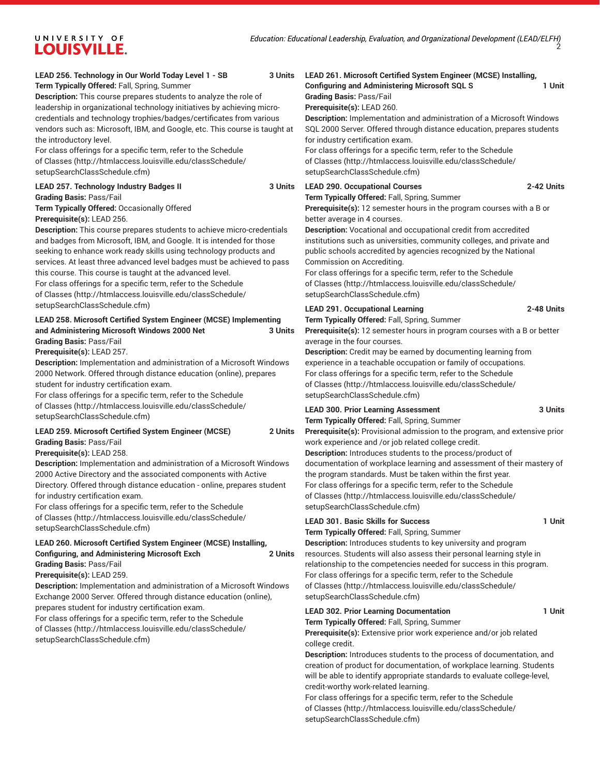# **LEAD 256. Technology in Our World Today Level 1 - SB 3 Units**

**Term Typically Offered:** Fall, Spring, Summer

**Description:** This course prepares students to analyze the role of leadership in organizational technology initiatives by achieving microcredentials and technology trophies/badges/certificates from various vendors such as: Microsoft, IBM, and Google, etc. This course is taught at the introductory level.

For class offerings for a specific term, refer to the [Schedule](http://htmlaccess.louisville.edu/classSchedule/setupSearchClassSchedule.cfm) [of Classes \(http://htmlaccess.louisville.edu/classSchedule/](http://htmlaccess.louisville.edu/classSchedule/setupSearchClassSchedule.cfm) [setupSearchClassSchedule.cfm\)](http://htmlaccess.louisville.edu/classSchedule/setupSearchClassSchedule.cfm)

#### **LEAD 257. Technology Industry Badges II 3 Units**

**Grading Basis:** Pass/Fail

**Term Typically Offered:** Occasionally Offered **Prerequisite(s):** LEAD 256.

**Description:** This course prepares students to achieve micro-credentials and badges from Microsoft, IBM, and Google. It is intended for those seeking to enhance work ready skills using technology products and services. At least three advanced level badges must be achieved to pass this course. This course is taught at the advanced level. For class offerings for a specific term, refer to the [Schedule](http://htmlaccess.louisville.edu/classSchedule/setupSearchClassSchedule.cfm) [of Classes \(http://htmlaccess.louisville.edu/classSchedule/](http://htmlaccess.louisville.edu/classSchedule/setupSearchClassSchedule.cfm) [setupSearchClassSchedule.cfm\)](http://htmlaccess.louisville.edu/classSchedule/setupSearchClassSchedule.cfm)

#### **LEAD 258. Microsoft Certified System Engineer (MCSE) Implementing and Administering Microsoft Windows 2000 Net 3 Units Grading Basis:** Pass/Fail

**Prerequisite(s):** LEAD 257.

**Description:** Implementation and administration of a Microsoft Windows 2000 Network. Offered through distance education (online), prepares student for industry certification exam.

For class offerings for a specific term, refer to the [Schedule](http://htmlaccess.louisville.edu/classSchedule/setupSearchClassSchedule.cfm) [of Classes \(http://htmlaccess.louisville.edu/classSchedule/](http://htmlaccess.louisville.edu/classSchedule/setupSearchClassSchedule.cfm) [setupSearchClassSchedule.cfm\)](http://htmlaccess.louisville.edu/classSchedule/setupSearchClassSchedule.cfm)

#### **LEAD 259. Microsoft Certified System Engineer (MCSE) 2 Units Grading Basis:** Pass/Fail

**Prerequisite(s):** LEAD 258.

**Description:** Implementation and administration of a Microsoft Windows 2000 Active Directory and the associated components with Active Directory. Offered through distance education - online, prepares student for industry certification exam.

For class offerings for a specific term, refer to the [Schedule](http://htmlaccess.louisville.edu/classSchedule/setupSearchClassSchedule.cfm) [of Classes \(http://htmlaccess.louisville.edu/classSchedule/](http://htmlaccess.louisville.edu/classSchedule/setupSearchClassSchedule.cfm)

# [setupSearchClassSchedule.cfm\)](http://htmlaccess.louisville.edu/classSchedule/setupSearchClassSchedule.cfm)

# **LEAD 260. Microsoft Certified System Engineer (MCSE) Installing, Configuring, and Administering Microsoft Exch 2 Units**

**Grading Basis:** Pass/Fail

**Prerequisite(s):** LEAD 259.

**Description:** Implementation and administration of a Microsoft Windows Exchange 2000 Server. Offered through distance education (online), prepares student for industry certification exam.

For class offerings for a specific term, refer to the [Schedule](http://htmlaccess.louisville.edu/classSchedule/setupSearchClassSchedule.cfm) [of Classes \(http://htmlaccess.louisville.edu/classSchedule/](http://htmlaccess.louisville.edu/classSchedule/setupSearchClassSchedule.cfm) [setupSearchClassSchedule.cfm\)](http://htmlaccess.louisville.edu/classSchedule/setupSearchClassSchedule.cfm)

# **LEAD 261. Microsoft Certified System Engineer (MCSE) Installing,**

**Configuring and Administering Microsoft SQL S 1 Unit Grading Basis:** Pass/Fail

**Prerequisite(s):** LEAD 260.

**Description:** Implementation and administration of a Microsoft Windows SQL 2000 Server. Offered through distance education, prepares students for industry certification exam.

For class offerings for a specific term, refer to the [Schedule](http://htmlaccess.louisville.edu/classSchedule/setupSearchClassSchedule.cfm) [of Classes](http://htmlaccess.louisville.edu/classSchedule/setupSearchClassSchedule.cfm) ([http://htmlaccess.louisville.edu/classSchedule/](http://htmlaccess.louisville.edu/classSchedule/setupSearchClassSchedule.cfm) [setupSearchClassSchedule.cfm\)](http://htmlaccess.louisville.edu/classSchedule/setupSearchClassSchedule.cfm)

**LEAD 290. Occupational Courses 2-42 Units**

**Term Typically Offered:** Fall, Spring, Summer **Prerequisite(s):** 12 semester hours in the program courses with a B or better average in 4 courses.

**Description:** Vocational and occupational credit from accredited institutions such as universities, community colleges, and private and public schools accredited by agencies recognized by the National Commission on Accrediting.

For class offerings for a specific term, refer to the [Schedule](http://htmlaccess.louisville.edu/classSchedule/setupSearchClassSchedule.cfm) [of Classes](http://htmlaccess.louisville.edu/classSchedule/setupSearchClassSchedule.cfm) ([http://htmlaccess.louisville.edu/classSchedule/](http://htmlaccess.louisville.edu/classSchedule/setupSearchClassSchedule.cfm) [setupSearchClassSchedule.cfm\)](http://htmlaccess.louisville.edu/classSchedule/setupSearchClassSchedule.cfm)

#### **LEAD 291. Occupational Learning 2-48 Units**

**Term Typically Offered:** Fall, Spring, Summer

**Prerequisite(s):** 12 semester hours in program courses with a B or better average in the four courses.

**Description:** Credit may be earned by documenting learning from experience in a teachable occupation or family of occupations. For class offerings for a specific term, refer to the [Schedule](http://htmlaccess.louisville.edu/classSchedule/setupSearchClassSchedule.cfm) [of Classes](http://htmlaccess.louisville.edu/classSchedule/setupSearchClassSchedule.cfm) ([http://htmlaccess.louisville.edu/classSchedule/](http://htmlaccess.louisville.edu/classSchedule/setupSearchClassSchedule.cfm) [setupSearchClassSchedule.cfm\)](http://htmlaccess.louisville.edu/classSchedule/setupSearchClassSchedule.cfm)

#### **LEAD 300. Prior Learning Assessment 3 Units**

**Term Typically Offered:** Fall, Spring, Summer

**Prerequisite(s):** Provisional admission to the program, and extensive prior

work experience and /or job related college credit. **Description:** Introduces students to the process/product of documentation of workplace learning and assessment of their mastery of the program standards. Must be taken within the first year. For class offerings for a specific term, refer to the [Schedule](http://htmlaccess.louisville.edu/classSchedule/setupSearchClassSchedule.cfm) [of Classes](http://htmlaccess.louisville.edu/classSchedule/setupSearchClassSchedule.cfm) ([http://htmlaccess.louisville.edu/classSchedule/](http://htmlaccess.louisville.edu/classSchedule/setupSearchClassSchedule.cfm) [setupSearchClassSchedule.cfm\)](http://htmlaccess.louisville.edu/classSchedule/setupSearchClassSchedule.cfm)

# LEAD 301. Basic Skills for Success 1 Unit

**Term Typically Offered:** Fall, Spring, Summer

**Description:** Introduces students to key university and program resources. Students will also assess their personal learning style in relationship to the competencies needed for success in this program. For class offerings for a specific term, refer to the [Schedule](http://htmlaccess.louisville.edu/classSchedule/setupSearchClassSchedule.cfm) [of Classes](http://htmlaccess.louisville.edu/classSchedule/setupSearchClassSchedule.cfm) ([http://htmlaccess.louisville.edu/classSchedule/](http://htmlaccess.louisville.edu/classSchedule/setupSearchClassSchedule.cfm) [setupSearchClassSchedule.cfm\)](http://htmlaccess.louisville.edu/classSchedule/setupSearchClassSchedule.cfm)

#### LEAD 302. Prior Learning Documentation **1** Unit **Term Typically Offered:** Fall, Spring, Summer

**Prerequisite(s):** Extensive prior work experience and/or job related college credit.

**Description:** Introduces students to the process of documentation, and creation of product for documentation, of workplace learning. Students will be able to identify appropriate standards to evaluate college-level, credit-worthy work-related learning.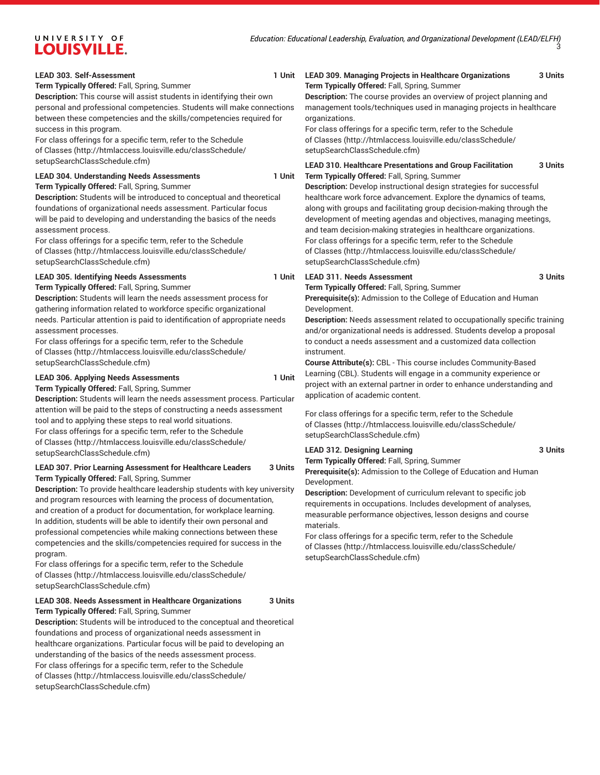#### LEAD 303. Self-Assessment 1 Unit

**Term Typically Offered:** Fall, Spring, Summer

**Description:** This course will assist students in identifying their own personal and professional competencies. Students will make connections between these competencies and the skills/competencies required for success in this program.

For class offerings for a specific term, refer to the [Schedule](http://htmlaccess.louisville.edu/classSchedule/setupSearchClassSchedule.cfm) [of Classes \(http://htmlaccess.louisville.edu/classSchedule/](http://htmlaccess.louisville.edu/classSchedule/setupSearchClassSchedule.cfm) [setupSearchClassSchedule.cfm\)](http://htmlaccess.louisville.edu/classSchedule/setupSearchClassSchedule.cfm)

#### **LEAD 304. Understanding Needs Assessments 1 Unit Term Typically Offered:** Fall, Spring, Summer

**Description:** Students will be introduced to conceptual and theoretical foundations of organizational needs assessment. Particular focus will be paid to developing and understanding the basics of the needs assessment process.

For class offerings for a specific term, refer to the [Schedule](http://htmlaccess.louisville.edu/classSchedule/setupSearchClassSchedule.cfm) [of Classes \(http://htmlaccess.louisville.edu/classSchedule/](http://htmlaccess.louisville.edu/classSchedule/setupSearchClassSchedule.cfm) [setupSearchClassSchedule.cfm\)](http://htmlaccess.louisville.edu/classSchedule/setupSearchClassSchedule.cfm)

#### **LEAD 305. Identifying Needs Assessments**

**Term Typically Offered:** Fall, Spring, Summer

**Description:** Students will learn the needs assessment process for gathering information related to workforce specific organizational needs. Particular attention is paid to identification of appropriate needs assessment processes.

For class offerings for a specific term, refer to the [Schedule](http://htmlaccess.louisville.edu/classSchedule/setupSearchClassSchedule.cfm) [of Classes \(http://htmlaccess.louisville.edu/classSchedule/](http://htmlaccess.louisville.edu/classSchedule/setupSearchClassSchedule.cfm) [setupSearchClassSchedule.cfm\)](http://htmlaccess.louisville.edu/classSchedule/setupSearchClassSchedule.cfm)

#### **LEAD 306. Applying Needs Assessments 1 Unit**

**Term Typically Offered:** Fall, Spring, Summer

**Description:** Students will learn the needs assessment process. Particular attention will be paid to the steps of constructing a needs assessment tool and to applying these steps to real world situations. For class offerings for a specific term, refer to the [Schedule](http://htmlaccess.louisville.edu/classSchedule/setupSearchClassSchedule.cfm) [of Classes \(http://htmlaccess.louisville.edu/classSchedule/](http://htmlaccess.louisville.edu/classSchedule/setupSearchClassSchedule.cfm) [setupSearchClassSchedule.cfm\)](http://htmlaccess.louisville.edu/classSchedule/setupSearchClassSchedule.cfm)

#### **LEAD 307. Prior Learning Assessment for Healthcare Leaders 3 Units Term Typically Offered:** Fall, Spring, Summer

**Description:** To provide healthcare leadership students with key university and program resources with learning the process of documentation, and creation of a product for documentation, for workplace learning. In addition, students will be able to identify their own personal and professional competencies while making connections between these competencies and the skills/competencies required for success in the program.

For class offerings for a specific term, refer to the [Schedule](http://htmlaccess.louisville.edu/classSchedule/setupSearchClassSchedule.cfm) [of Classes \(http://htmlaccess.louisville.edu/classSchedule/](http://htmlaccess.louisville.edu/classSchedule/setupSearchClassSchedule.cfm) [setupSearchClassSchedule.cfm\)](http://htmlaccess.louisville.edu/classSchedule/setupSearchClassSchedule.cfm)

#### **LEAD 308. Needs Assessment in Healthcare Organizations 3 Units Term Typically Offered:** Fall, Spring, Summer

**Description:** Students will be introduced to the conceptual and theoretical foundations and process of organizational needs assessment in healthcare organizations. Particular focus will be paid to developing an understanding of the basics of the needs assessment process. For class offerings for a specific term, refer to the [Schedule](http://htmlaccess.louisville.edu/classSchedule/setupSearchClassSchedule.cfm) [of Classes \(http://htmlaccess.louisville.edu/classSchedule/](http://htmlaccess.louisville.edu/classSchedule/setupSearchClassSchedule.cfm) [setupSearchClassSchedule.cfm\)](http://htmlaccess.louisville.edu/classSchedule/setupSearchClassSchedule.cfm)

#### **LEAD 309. Managing Projects in Healthcare Organizations 3 Units Term Typically Offered:** Fall, Spring, Summer

**Description:** The course provides an overview of project planning and management tools/techniques used in managing projects in healthcare organizations.

For class offerings for a specific term, refer to the [Schedule](http://htmlaccess.louisville.edu/classSchedule/setupSearchClassSchedule.cfm) [of Classes](http://htmlaccess.louisville.edu/classSchedule/setupSearchClassSchedule.cfm) ([http://htmlaccess.louisville.edu/classSchedule/](http://htmlaccess.louisville.edu/classSchedule/setupSearchClassSchedule.cfm) [setupSearchClassSchedule.cfm\)](http://htmlaccess.louisville.edu/classSchedule/setupSearchClassSchedule.cfm)

**LEAD 310. Healthcare Presentations and Group Facilitation 3 Units Term Typically Offered:** Fall, Spring, Summer

**Description:** Develop instructional design strategies for successful healthcare work force advancement. Explore the dynamics of teams, along with groups and facilitating group decision-making through the development of meeting agendas and objectives, managing meetings, and team decision-making strategies in healthcare organizations. For class offerings for a specific term, refer to the [Schedule](http://htmlaccess.louisville.edu/classSchedule/setupSearchClassSchedule.cfm) [of Classes](http://htmlaccess.louisville.edu/classSchedule/setupSearchClassSchedule.cfm) ([http://htmlaccess.louisville.edu/classSchedule/](http://htmlaccess.louisville.edu/classSchedule/setupSearchClassSchedule.cfm) [setupSearchClassSchedule.cfm\)](http://htmlaccess.louisville.edu/classSchedule/setupSearchClassSchedule.cfm)

#### **LEAD 311. Needs Assessment 3 Units**

**Term Typically Offered:** Fall, Spring, Summer

**Prerequisite(s):** Admission to the College of Education and Human Development.

**Description:** Needs assessment related to occupationally specific training and/or organizational needs is addressed. Students develop a proposal to conduct a needs assessment and a customized data collection instrument.

**Course Attribute(s):** CBL - This course includes Community-Based Learning (CBL). Students will engage in a community experience or project with an external partner in order to enhance understanding and application of academic content.

For class offerings for a specific term, refer to the [Schedule](http://htmlaccess.louisville.edu/classSchedule/setupSearchClassSchedule.cfm) [of Classes](http://htmlaccess.louisville.edu/classSchedule/setupSearchClassSchedule.cfm) ([http://htmlaccess.louisville.edu/classSchedule/](http://htmlaccess.louisville.edu/classSchedule/setupSearchClassSchedule.cfm) [setupSearchClassSchedule.cfm\)](http://htmlaccess.louisville.edu/classSchedule/setupSearchClassSchedule.cfm)

#### LEAD 312. Designing Learning **3 Units** 3 Units

**Term Typically Offered:** Fall, Spring, Summer **Prerequisite(s):** Admission to the College of Education and Human Development.

**Description:** Development of curriculum relevant to specific job requirements in occupations. Includes development of analyses, measurable performance objectives, lesson designs and course materials.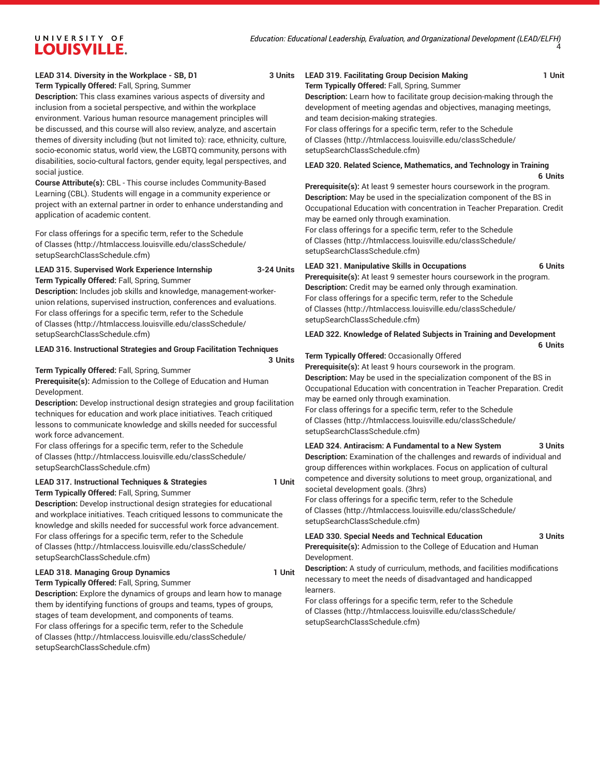### **LEAD 314. Diversity in the Workplace - SB, D1 3 Units**

**Term Typically Offered:** Fall, Spring, Summer

**Description:** This class examines various aspects of diversity and inclusion from a societal perspective, and within the workplace environment. Various human resource management principles will be discussed, and this course will also review, analyze, and ascertain themes of diversity including (but not limited to): race, ethnicity, culture, socio-economic status, world view, the LGBTQ community, persons with disabilities, socio-cultural factors, gender equity, legal perspectives, and social justice.

**Course Attribute(s):** CBL - This course includes Community-Based Learning (CBL). Students will engage in a community experience or project with an external partner in order to enhance understanding and application of academic content.

For class offerings for a specific term, refer to the [Schedule](http://htmlaccess.louisville.edu/classSchedule/setupSearchClassSchedule.cfm) [of Classes \(http://htmlaccess.louisville.edu/classSchedule/](http://htmlaccess.louisville.edu/classSchedule/setupSearchClassSchedule.cfm) [setupSearchClassSchedule.cfm\)](http://htmlaccess.louisville.edu/classSchedule/setupSearchClassSchedule.cfm)

#### **LEAD 315. Supervised Work Experience Internship 3-24 Units Term Typically Offered:** Fall, Spring, Summer

**Description:** Includes job skills and knowledge, management-workerunion relations, supervised instruction, conferences and evaluations. For class offerings for a specific term, refer to the [Schedule](http://htmlaccess.louisville.edu/classSchedule/setupSearchClassSchedule.cfm) [of Classes \(http://htmlaccess.louisville.edu/classSchedule/](http://htmlaccess.louisville.edu/classSchedule/setupSearchClassSchedule.cfm) [setupSearchClassSchedule.cfm\)](http://htmlaccess.louisville.edu/classSchedule/setupSearchClassSchedule.cfm)

#### **LEAD 316. Instructional Strategies and Group Facilitation Techniques**

```
3 Units
```
**Term Typically Offered:** Fall, Spring, Summer **Prerequisite(s):** Admission to the College of Education and Human Development.

**Description:** Develop instructional design strategies and group facilitation techniques for education and work place initiatives. Teach critiqued lessons to communicate knowledge and skills needed for successful work force advancement.

For class offerings for a specific term, refer to the [Schedule](http://htmlaccess.louisville.edu/classSchedule/setupSearchClassSchedule.cfm) [of Classes \(http://htmlaccess.louisville.edu/classSchedule/](http://htmlaccess.louisville.edu/classSchedule/setupSearchClassSchedule.cfm) [setupSearchClassSchedule.cfm\)](http://htmlaccess.louisville.edu/classSchedule/setupSearchClassSchedule.cfm)

**LEAD 317. Instructional Techniques & Strategies 1 Unit**

**Term Typically Offered:** Fall, Spring, Summer **Description:** Develop instructional design strategies for educational and workplace initiatives. Teach critiqued lessons to communicate the knowledge and skills needed for successful work force advancement. For class offerings for a specific term, refer to the [Schedule](http://htmlaccess.louisville.edu/classSchedule/setupSearchClassSchedule.cfm) [of Classes \(http://htmlaccess.louisville.edu/classSchedule/](http://htmlaccess.louisville.edu/classSchedule/setupSearchClassSchedule.cfm) [setupSearchClassSchedule.cfm\)](http://htmlaccess.louisville.edu/classSchedule/setupSearchClassSchedule.cfm)

#### LEAD 318. Managing Group Dynamics **1 1 Unit**

**Term Typically Offered:** Fall, Spring, Summer **Description:** Explore the dynamics of groups and learn how to manage them by identifying functions of groups and teams, types of groups, stages of team development, and components of teams. For class offerings for a specific term, refer to the [Schedule](http://htmlaccess.louisville.edu/classSchedule/setupSearchClassSchedule.cfm) [of Classes \(http://htmlaccess.louisville.edu/classSchedule/](http://htmlaccess.louisville.edu/classSchedule/setupSearchClassSchedule.cfm) [setupSearchClassSchedule.cfm\)](http://htmlaccess.louisville.edu/classSchedule/setupSearchClassSchedule.cfm)

#### **LEAD 319. Facilitating Group Decision Making 1 Unit Term Typically Offered:** Fall, Spring, Summer

**Description:** Learn how to facilitate group decision-making through the development of meeting agendas and objectives, managing meetings, and team decision-making strategies.

For class offerings for a specific term, refer to the [Schedule](http://htmlaccess.louisville.edu/classSchedule/setupSearchClassSchedule.cfm) [of Classes](http://htmlaccess.louisville.edu/classSchedule/setupSearchClassSchedule.cfm) ([http://htmlaccess.louisville.edu/classSchedule/](http://htmlaccess.louisville.edu/classSchedule/setupSearchClassSchedule.cfm) [setupSearchClassSchedule.cfm\)](http://htmlaccess.louisville.edu/classSchedule/setupSearchClassSchedule.cfm)

# **LEAD 320. Related Science, Mathematics, and Technology in Training**

**6 Units**

**Prerequisite(s):** At least 9 semester hours coursework in the program. **Description:** May be used in the specialization component of the BS in Occupational Education with concentration in Teacher Preparation. Credit may be earned only through examination.

For class offerings for a specific term, refer to the [Schedule](http://htmlaccess.louisville.edu/classSchedule/setupSearchClassSchedule.cfm) [of Classes](http://htmlaccess.louisville.edu/classSchedule/setupSearchClassSchedule.cfm) ([http://htmlaccess.louisville.edu/classSchedule/](http://htmlaccess.louisville.edu/classSchedule/setupSearchClassSchedule.cfm) [setupSearchClassSchedule.cfm\)](http://htmlaccess.louisville.edu/classSchedule/setupSearchClassSchedule.cfm)

#### **LEAD 321. Manipulative Skills in Occupations 6 Units**

**Prerequisite(s):** At least 9 semester hours coursework in the program. **Description:** Credit may be earned only through examination. For class offerings for a specific term, refer to the [Schedule](http://htmlaccess.louisville.edu/classSchedule/setupSearchClassSchedule.cfm) [of Classes](http://htmlaccess.louisville.edu/classSchedule/setupSearchClassSchedule.cfm) ([http://htmlaccess.louisville.edu/classSchedule/](http://htmlaccess.louisville.edu/classSchedule/setupSearchClassSchedule.cfm) [setupSearchClassSchedule.cfm\)](http://htmlaccess.louisville.edu/classSchedule/setupSearchClassSchedule.cfm)

# **LEAD 322. Knowledge of Related Subjects in Training and Development**

**6 Units**

#### **Term Typically Offered:** Occasionally Offered

**Prerequisite(s):** At least 9 hours coursework in the program. **Description:** May be used in the specialization component of the BS in Occupational Education with concentration in Teacher Preparation. Credit may be earned only through examination.

For class offerings for a specific term, refer to the [Schedule](http://htmlaccess.louisville.edu/classSchedule/setupSearchClassSchedule.cfm) [of Classes](http://htmlaccess.louisville.edu/classSchedule/setupSearchClassSchedule.cfm) ([http://htmlaccess.louisville.edu/classSchedule/](http://htmlaccess.louisville.edu/classSchedule/setupSearchClassSchedule.cfm) [setupSearchClassSchedule.cfm\)](http://htmlaccess.louisville.edu/classSchedule/setupSearchClassSchedule.cfm)

**LEAD 324. Antiracism: A Fundamental to a New System 3 Units Description:** Examination of the challenges and rewards of individual and group differences within workplaces. Focus on application of cultural competence and diversity solutions to meet group, organizational, and societal development goals. (3hrs)

For class offerings for a specific term, refer to the [Schedule](http://htmlaccess.louisville.edu/classSchedule/setupSearchClassSchedule.cfm) [of Classes](http://htmlaccess.louisville.edu/classSchedule/setupSearchClassSchedule.cfm) ([http://htmlaccess.louisville.edu/classSchedule/](http://htmlaccess.louisville.edu/classSchedule/setupSearchClassSchedule.cfm) [setupSearchClassSchedule.cfm\)](http://htmlaccess.louisville.edu/classSchedule/setupSearchClassSchedule.cfm)

# **LEAD 330. Special Needs and Technical Education 3 Units**

**Prerequisite(s):** Admission to the College of Education and Human Development.

**Description:** A study of curriculum, methods, and facilities modifications necessary to meet the needs of disadvantaged and handicapped learners.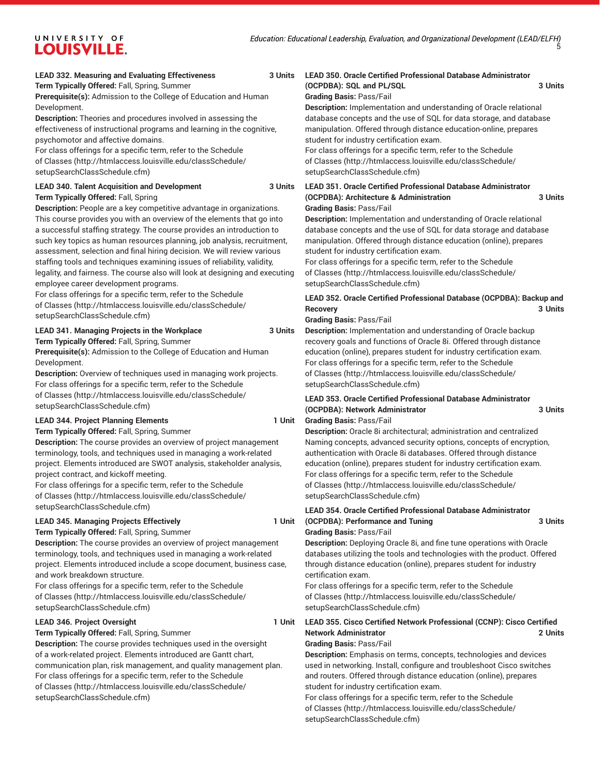#### **LEAD 332. Measuring and Evaluating Effectiveness 3 Units**

**Term Typically Offered:** Fall, Spring, Summer

**Prerequisite(s):** Admission to the College of Education and Human Development.

**Description:** Theories and procedures involved in assessing the effectiveness of instructional programs and learning in the cognitive, psychomotor and affective domains.

For class offerings for a specific term, refer to the [Schedule](http://htmlaccess.louisville.edu/classSchedule/setupSearchClassSchedule.cfm) [of Classes \(http://htmlaccess.louisville.edu/classSchedule/](http://htmlaccess.louisville.edu/classSchedule/setupSearchClassSchedule.cfm) [setupSearchClassSchedule.cfm\)](http://htmlaccess.louisville.edu/classSchedule/setupSearchClassSchedule.cfm)

#### **LEAD 340. Talent Acquisition and Development 3 Units**

**Term Typically Offered:** Fall, Spring

**Description:** People are a key competitive advantage in organizations. This course provides you with an overview of the elements that go into a successful staffing strategy. The course provides an introduction to such key topics as human resources planning, job analysis, recruitment, assessment, selection and final hiring decision. We will review various staffing tools and techniques examining issues of reliability, validity, legality, and fairness. The course also will look at designing and executing employee career development programs.

For class offerings for a specific term, refer to the [Schedule](http://htmlaccess.louisville.edu/classSchedule/setupSearchClassSchedule.cfm) [of Classes \(http://htmlaccess.louisville.edu/classSchedule/](http://htmlaccess.louisville.edu/classSchedule/setupSearchClassSchedule.cfm) [setupSearchClassSchedule.cfm\)](http://htmlaccess.louisville.edu/classSchedule/setupSearchClassSchedule.cfm)

#### **LEAD 341. Managing Projects in the Workplace 3 Units**

**Term Typically Offered:** Fall, Spring, Summer

**Prerequisite(s):** Admission to the College of Education and Human Development.

**Description:** Overview of techniques used in managing work projects. For class offerings for a specific term, refer to the [Schedule](http://htmlaccess.louisville.edu/classSchedule/setupSearchClassSchedule.cfm) [of Classes \(http://htmlaccess.louisville.edu/classSchedule/](http://htmlaccess.louisville.edu/classSchedule/setupSearchClassSchedule.cfm) [setupSearchClassSchedule.cfm\)](http://htmlaccess.louisville.edu/classSchedule/setupSearchClassSchedule.cfm)

#### LEAD 344. Project Planning Elements **1** Unit

**Term Typically Offered:** Fall, Spring, Summer

**Description:** The course provides an overview of project management terminology, tools, and techniques used in managing a work-related project. Elements introduced are SWOT analysis, stakeholder analysis, project contract, and kickoff meeting.

For class offerings for a specific term, refer to the [Schedule](http://htmlaccess.louisville.edu/classSchedule/setupSearchClassSchedule.cfm) [of Classes \(http://htmlaccess.louisville.edu/classSchedule/](http://htmlaccess.louisville.edu/classSchedule/setupSearchClassSchedule.cfm) [setupSearchClassSchedule.cfm\)](http://htmlaccess.louisville.edu/classSchedule/setupSearchClassSchedule.cfm)

#### **LEAD 345. Managing Projects Effectively 1 Unit**

**Term Typically Offered:** Fall, Spring, Summer **Description:** The course provides an overview of project management terminology, tools, and techniques used in managing a work-related project. Elements introduced include a scope document, business case, and work breakdown structure.

For class offerings for a specific term, refer to the [Schedule](http://htmlaccess.louisville.edu/classSchedule/setupSearchClassSchedule.cfm) [of Classes \(http://htmlaccess.louisville.edu/classSchedule/](http://htmlaccess.louisville.edu/classSchedule/setupSearchClassSchedule.cfm) [setupSearchClassSchedule.cfm\)](http://htmlaccess.louisville.edu/classSchedule/setupSearchClassSchedule.cfm)

#### **LEAD 346. Project Oversight 1 Unit**

**Term Typically Offered:** Fall, Spring, Summer

**Description:** The course provides techniques used in the oversight of a work-related project. Elements introduced are Gantt chart, communication plan, risk management, and quality management plan. For class offerings for a specific term, refer to the [Schedule](http://htmlaccess.louisville.edu/classSchedule/setupSearchClassSchedule.cfm) [of Classes \(http://htmlaccess.louisville.edu/classSchedule/](http://htmlaccess.louisville.edu/classSchedule/setupSearchClassSchedule.cfm) [setupSearchClassSchedule.cfm\)](http://htmlaccess.louisville.edu/classSchedule/setupSearchClassSchedule.cfm)

#### **LEAD 350. Oracle Certified Professional Database Administrator (OCPDBA): SQL and PL/SQL 3 Units**

# **Grading Basis:** Pass/Fail

**Description:** Implementation and understanding of Oracle relational database concepts and the use of SQL for data storage, and database manipulation. Offered through distance education-online, prepares student for industry certification exam.

For class offerings for a specific term, refer to the [Schedule](http://htmlaccess.louisville.edu/classSchedule/setupSearchClassSchedule.cfm) [of Classes](http://htmlaccess.louisville.edu/classSchedule/setupSearchClassSchedule.cfm) ([http://htmlaccess.louisville.edu/classSchedule/](http://htmlaccess.louisville.edu/classSchedule/setupSearchClassSchedule.cfm) [setupSearchClassSchedule.cfm\)](http://htmlaccess.louisville.edu/classSchedule/setupSearchClassSchedule.cfm)

#### **LEAD 351. Oracle Certified Professional Database Administrator (OCPDBA): Architecture & Administration 3 Units Grading Basis:** Pass/Fail

**Description:** Implementation and understanding of Oracle relational database concepts and the use of SQL for data storage and database manipulation. Offered through distance education (online), prepares student for industry certification exam.

For class offerings for a specific term, refer to the [Schedule](http://htmlaccess.louisville.edu/classSchedule/setupSearchClassSchedule.cfm) [of Classes](http://htmlaccess.louisville.edu/classSchedule/setupSearchClassSchedule.cfm) ([http://htmlaccess.louisville.edu/classSchedule/](http://htmlaccess.louisville.edu/classSchedule/setupSearchClassSchedule.cfm) [setupSearchClassSchedule.cfm\)](http://htmlaccess.louisville.edu/classSchedule/setupSearchClassSchedule.cfm)

### **LEAD 352. Oracle Certified Professional Database (OCPDBA): Backup and Recovery 3 Units**

#### **Grading Basis:** Pass/Fail

**Description:** Implementation and understanding of Oracle backup recovery goals and functions of Oracle 8i. Offered through distance education (online), prepares student for industry certification exam. For class offerings for a specific term, refer to the [Schedule](http://htmlaccess.louisville.edu/classSchedule/setupSearchClassSchedule.cfm) [of Classes](http://htmlaccess.louisville.edu/classSchedule/setupSearchClassSchedule.cfm) ([http://htmlaccess.louisville.edu/classSchedule/](http://htmlaccess.louisville.edu/classSchedule/setupSearchClassSchedule.cfm) [setupSearchClassSchedule.cfm\)](http://htmlaccess.louisville.edu/classSchedule/setupSearchClassSchedule.cfm)

# **LEAD 353. Oracle Certified Professional Database Administrator (OCPDBA): Network Administrator 3 Units**

**Grading Basis:** Pass/Fail

**Description:** Oracle 8i architectural; administration and centralized Naming concepts, advanced security options, concepts of encryption, authentication with Oracle 8i databases. Offered through distance education (online), prepares student for industry certification exam. For class offerings for a specific term, refer to the [Schedule](http://htmlaccess.louisville.edu/classSchedule/setupSearchClassSchedule.cfm) [of Classes](http://htmlaccess.louisville.edu/classSchedule/setupSearchClassSchedule.cfm) ([http://htmlaccess.louisville.edu/classSchedule/](http://htmlaccess.louisville.edu/classSchedule/setupSearchClassSchedule.cfm) [setupSearchClassSchedule.cfm\)](http://htmlaccess.louisville.edu/classSchedule/setupSearchClassSchedule.cfm)

# **LEAD 354. Oracle Certified Professional Database Administrator (OCPDBA): Performance and Tuning 3 Units**

#### **Grading Basis:** Pass/Fail

**Description:** Deploying Oracle 8i, and fine tune operations with Oracle databases utilizing the tools and technologies with the product. Offered through distance education (online), prepares student for industry certification exam.

For class offerings for a specific term, refer to the [Schedule](http://htmlaccess.louisville.edu/classSchedule/setupSearchClassSchedule.cfm) [of Classes](http://htmlaccess.louisville.edu/classSchedule/setupSearchClassSchedule.cfm) ([http://htmlaccess.louisville.edu/classSchedule/](http://htmlaccess.louisville.edu/classSchedule/setupSearchClassSchedule.cfm) [setupSearchClassSchedule.cfm\)](http://htmlaccess.louisville.edu/classSchedule/setupSearchClassSchedule.cfm)

# **LEAD 355. Cisco Certified Network Professional (CCNP): Cisco Certified Network Administrator 2 Units**

#### **Grading Basis:** Pass/Fail

**Description:** Emphasis on terms, concepts, technologies and devices used in networking. Install, configure and troubleshoot Cisco switches and routers. Offered through distance education (online), prepares student for industry certification exam.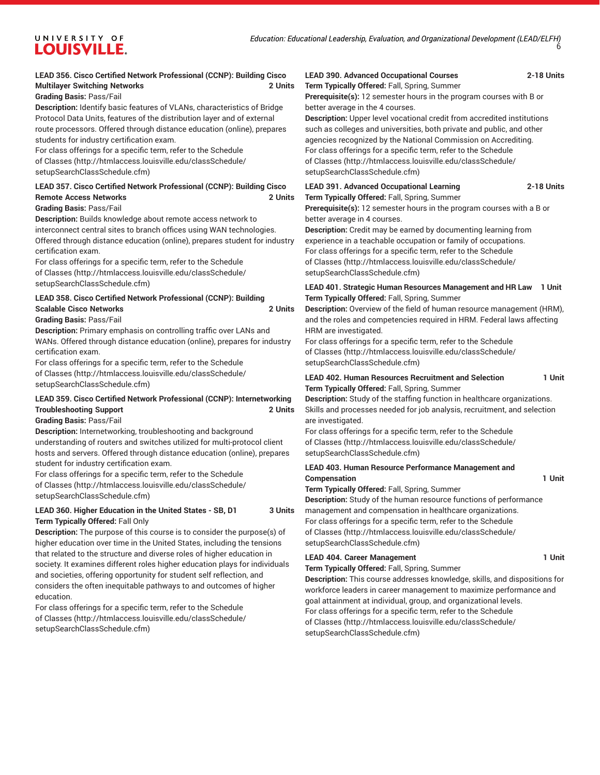# **LEAD 356. Cisco Certified Network Professional (CCNP): Building Cisco Multilayer Switching Networks 2 Units**

**Grading Basis:** Pass/Fail

**Description:** Identify basic features of VLANs, characteristics of Bridge Protocol Data Units, features of the distribution layer and of external route processors. Offered through distance education (online), prepares students for industry certification exam.

For class offerings for a specific term, refer to the [Schedule](http://htmlaccess.louisville.edu/classSchedule/setupSearchClassSchedule.cfm) [of Classes \(http://htmlaccess.louisville.edu/classSchedule/](http://htmlaccess.louisville.edu/classSchedule/setupSearchClassSchedule.cfm) [setupSearchClassSchedule.cfm\)](http://htmlaccess.louisville.edu/classSchedule/setupSearchClassSchedule.cfm)

#### **LEAD 357. Cisco Certified Network Professional (CCNP): Building Cisco Remote Access Networks 2 Units**

#### **Grading Basis:** Pass/Fail

**Description:** Builds knowledge about remote access network to interconnect central sites to branch offices using WAN technologies. Offered through distance education (online), prepares student for industry certification exam.

For class offerings for a specific term, refer to the [Schedule](http://htmlaccess.louisville.edu/classSchedule/setupSearchClassSchedule.cfm) [of Classes \(http://htmlaccess.louisville.edu/classSchedule/](http://htmlaccess.louisville.edu/classSchedule/setupSearchClassSchedule.cfm) [setupSearchClassSchedule.cfm\)](http://htmlaccess.louisville.edu/classSchedule/setupSearchClassSchedule.cfm)

# **LEAD 358. Cisco Certified Network Professional (CCNP): Building Scalable Cisco Networks 2 Units**

#### **Grading Basis:** Pass/Fail

**Description:** Primary emphasis on controlling traffic over LANs and WANs. Offered through distance education (online), prepares for industry certification exam.

For class offerings for a specific term, refer to the [Schedule](http://htmlaccess.louisville.edu/classSchedule/setupSearchClassSchedule.cfm) [of Classes \(http://htmlaccess.louisville.edu/classSchedule/](http://htmlaccess.louisville.edu/classSchedule/setupSearchClassSchedule.cfm) [setupSearchClassSchedule.cfm\)](http://htmlaccess.louisville.edu/classSchedule/setupSearchClassSchedule.cfm)

# **LEAD 359. Cisco Certified Network Professional (CCNP): Internetworking Troubleshooting Support 2 Units**

#### **Grading Basis:** Pass/Fail

**Description:** Internetworking, troubleshooting and background understanding of routers and switches utilized for multi-protocol client hosts and servers. Offered through distance education (online), prepares student for industry certification exam.

For class offerings for a specific term, refer to the [Schedule](http://htmlaccess.louisville.edu/classSchedule/setupSearchClassSchedule.cfm) [of Classes \(http://htmlaccess.louisville.edu/classSchedule/](http://htmlaccess.louisville.edu/classSchedule/setupSearchClassSchedule.cfm) [setupSearchClassSchedule.cfm\)](http://htmlaccess.louisville.edu/classSchedule/setupSearchClassSchedule.cfm)

# **LEAD 360. Higher Education in the United States - SB, D1 3 Units Term Typically Offered:** Fall Only

**Description:** The purpose of this course is to consider the purpose(s) of higher education over time in the United States, including the tensions that related to the structure and diverse roles of higher education in society. It examines different roles higher education plays for individuals and societies, offering opportunity for student self reflection, and considers the often inequitable pathways to and outcomes of higher education.

For class offerings for a specific term, refer to the [Schedule](http://htmlaccess.louisville.edu/classSchedule/setupSearchClassSchedule.cfm) [of Classes \(http://htmlaccess.louisville.edu/classSchedule/](http://htmlaccess.louisville.edu/classSchedule/setupSearchClassSchedule.cfm) [setupSearchClassSchedule.cfm\)](http://htmlaccess.louisville.edu/classSchedule/setupSearchClassSchedule.cfm)

# **LEAD 390. Advanced Occupational Courses 2-18 Units**

**Term Typically Offered:** Fall, Spring, Summer

**Prerequisite(s):** 12 semester hours in the program courses with B or better average in the 4 courses.

**Description:** Upper level vocational credit from accredited institutions such as colleges and universities, both private and public, and other agencies recognized by the National Commission on Accrediting. For class offerings for a specific term, refer to the [Schedule](http://htmlaccess.louisville.edu/classSchedule/setupSearchClassSchedule.cfm) [of Classes](http://htmlaccess.louisville.edu/classSchedule/setupSearchClassSchedule.cfm) ([http://htmlaccess.louisville.edu/classSchedule/](http://htmlaccess.louisville.edu/classSchedule/setupSearchClassSchedule.cfm)

#### **LEAD 391. Advanced Occupational Learning 2-18 Units**

[setupSearchClassSchedule.cfm\)](http://htmlaccess.louisville.edu/classSchedule/setupSearchClassSchedule.cfm)

**Term Typically Offered:** Fall, Spring, Summer

**Prerequisite(s):** 12 semester hours in the program courses with a B or better average in 4 courses.

**Description:** Credit may be earned by documenting learning from experience in a teachable occupation or family of occupations. For class offerings for a specific term, refer to the [Schedule](http://htmlaccess.louisville.edu/classSchedule/setupSearchClassSchedule.cfm) [of Classes](http://htmlaccess.louisville.edu/classSchedule/setupSearchClassSchedule.cfm) ([http://htmlaccess.louisville.edu/classSchedule/](http://htmlaccess.louisville.edu/classSchedule/setupSearchClassSchedule.cfm) [setupSearchClassSchedule.cfm\)](http://htmlaccess.louisville.edu/classSchedule/setupSearchClassSchedule.cfm)

#### **LEAD 401. Strategic Human Resources Management and HR Law 1 Unit Term Typically Offered:** Fall, Spring, Summer

**Description:** Overview of the field of human resource management (HRM), and the roles and competencies required in HRM. Federal laws affecting HRM are investigated.

For class offerings for a specific term, refer to the [Schedule](http://htmlaccess.louisville.edu/classSchedule/setupSearchClassSchedule.cfm) [of Classes](http://htmlaccess.louisville.edu/classSchedule/setupSearchClassSchedule.cfm) ([http://htmlaccess.louisville.edu/classSchedule/](http://htmlaccess.louisville.edu/classSchedule/setupSearchClassSchedule.cfm) [setupSearchClassSchedule.cfm\)](http://htmlaccess.louisville.edu/classSchedule/setupSearchClassSchedule.cfm)

#### **LEAD 402. Human Resources Recruitment and Selection 1 Unit Term Typically Offered:** Fall, Spring, Summer

**Description:** Study of the staffing function in healthcare organizations. Skills and processes needed for job analysis, recruitment, and selection are investigated.

For class offerings for a specific term, refer to the [Schedule](http://htmlaccess.louisville.edu/classSchedule/setupSearchClassSchedule.cfm) [of Classes](http://htmlaccess.louisville.edu/classSchedule/setupSearchClassSchedule.cfm) ([http://htmlaccess.louisville.edu/classSchedule/](http://htmlaccess.louisville.edu/classSchedule/setupSearchClassSchedule.cfm) [setupSearchClassSchedule.cfm\)](http://htmlaccess.louisville.edu/classSchedule/setupSearchClassSchedule.cfm)

### **LEAD 403. Human Resource Performance Management and Compensation** 1 Unit

**Term Typically Offered:** Fall, Spring, Summer

**Description:** Study of the human resource functions of performance management and compensation in healthcare organizations. For class offerings for a specific term, refer to the [Schedule](http://htmlaccess.louisville.edu/classSchedule/setupSearchClassSchedule.cfm) [of Classes](http://htmlaccess.louisville.edu/classSchedule/setupSearchClassSchedule.cfm) ([http://htmlaccess.louisville.edu/classSchedule/](http://htmlaccess.louisville.edu/classSchedule/setupSearchClassSchedule.cfm) [setupSearchClassSchedule.cfm\)](http://htmlaccess.louisville.edu/classSchedule/setupSearchClassSchedule.cfm)

# LEAD 404. Career Management **1** Unit

**Term Typically Offered:** Fall, Spring, Summer

**Description:** This course addresses knowledge, skills, and dispositions for workforce leaders in career management to maximize performance and goal attainment at individual, group, and organizational levels. For class offerings for a specific term, refer to the [Schedule](http://htmlaccess.louisville.edu/classSchedule/setupSearchClassSchedule.cfm) [of Classes](http://htmlaccess.louisville.edu/classSchedule/setupSearchClassSchedule.cfm) ([http://htmlaccess.louisville.edu/classSchedule/](http://htmlaccess.louisville.edu/classSchedule/setupSearchClassSchedule.cfm) [setupSearchClassSchedule.cfm\)](http://htmlaccess.louisville.edu/classSchedule/setupSearchClassSchedule.cfm)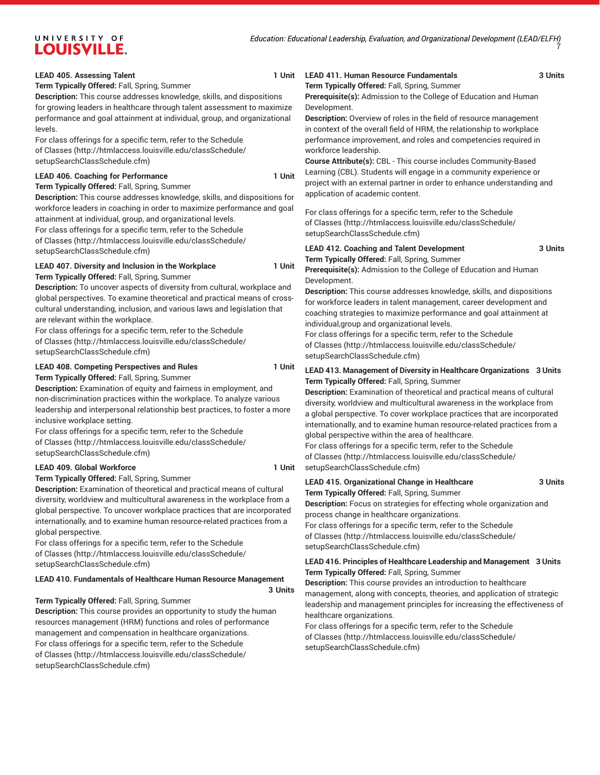#### **LEAD** 405. Assessing Talent

**Term Typically Offered:** Fall, Spring, Summer

**Description:** This course addresses knowledge, skills, and dispositions for growing leaders in healthcare through talent assessment to maximize performance and goal attainment at individual, group, and organizational levels.

For class offerings for a specific term, refer to the [Schedule](http://htmlaccess.louisville.edu/classSchedule/setupSearchClassSchedule.cfm) [of Classes \(http://htmlaccess.louisville.edu/classSchedule/](http://htmlaccess.louisville.edu/classSchedule/setupSearchClassSchedule.cfm) [setupSearchClassSchedule.cfm\)](http://htmlaccess.louisville.edu/classSchedule/setupSearchClassSchedule.cfm)

#### **LEAD 406. Coaching for Performance 1 Unit**

**Term Typically Offered:** Fall, Spring, Summer

**Description:** This course addresses knowledge, skills, and dispositions for workforce leaders in coaching in order to maximize performance and goal attainment at individual, group, and organizational levels.

For class offerings for a specific term, refer to the [Schedule](http://htmlaccess.louisville.edu/classSchedule/setupSearchClassSchedule.cfm) [of Classes \(http://htmlaccess.louisville.edu/classSchedule/](http://htmlaccess.louisville.edu/classSchedule/setupSearchClassSchedule.cfm) [setupSearchClassSchedule.cfm\)](http://htmlaccess.louisville.edu/classSchedule/setupSearchClassSchedule.cfm)

#### **LEAD 407. Diversity and Inclusion in the Workplace 1 Unit**

**Term Typically Offered:** Fall, Spring, Summer

**Description:** To uncover aspects of diversity from cultural, workplace and global perspectives. To examine theoretical and practical means of crosscultural understanding, inclusion, and various laws and legislation that are relevant within the workplace.

For class offerings for a specific term, refer to the [Schedule](http://htmlaccess.louisville.edu/classSchedule/setupSearchClassSchedule.cfm) [of Classes \(http://htmlaccess.louisville.edu/classSchedule/](http://htmlaccess.louisville.edu/classSchedule/setupSearchClassSchedule.cfm) [setupSearchClassSchedule.cfm\)](http://htmlaccess.louisville.edu/classSchedule/setupSearchClassSchedule.cfm)

#### **LEAD 408. Competing Perspectives and Rules 1 Unit Term Typically Offered:** Fall, Spring, Summer

**Description:** Examination of equity and fairness in employment, and non-discrimination practices within the workplace. To analyze various leadership and interpersonal relationship best practices, to foster a more inclusive workplace setting.

For class offerings for a specific term, refer to the [Schedule](http://htmlaccess.louisville.edu/classSchedule/setupSearchClassSchedule.cfm) [of Classes \(http://htmlaccess.louisville.edu/classSchedule/](http://htmlaccess.louisville.edu/classSchedule/setupSearchClassSchedule.cfm) [setupSearchClassSchedule.cfm\)](http://htmlaccess.louisville.edu/classSchedule/setupSearchClassSchedule.cfm)

#### **LEAD 409. Global Workforce 1 Unit**

**Term Typically Offered:** Fall, Spring, Summer

**Description:** Examination of theoretical and practical means of cultural diversity, worldview and multicultural awareness in the workplace from a global perspective. To uncover workplace practices that are incorporated internationally, and to examine human resource-related practices from a global perspective.

For class offerings for a specific term, refer to the [Schedule](http://htmlaccess.louisville.edu/classSchedule/setupSearchClassSchedule.cfm) [of Classes \(http://htmlaccess.louisville.edu/classSchedule/](http://htmlaccess.louisville.edu/classSchedule/setupSearchClassSchedule.cfm) [setupSearchClassSchedule.cfm\)](http://htmlaccess.louisville.edu/classSchedule/setupSearchClassSchedule.cfm)

#### **LEAD 410. Fundamentals of Healthcare Human Resource Management**

**3 Units**

#### **Term Typically Offered:** Fall, Spring, Summer

**Description:** This course provides an opportunity to study the human resources management (HRM) functions and roles of performance management and compensation in healthcare organizations. For class offerings for a specific term, refer to the [Schedule](http://htmlaccess.louisville.edu/classSchedule/setupSearchClassSchedule.cfm) [of Classes \(http://htmlaccess.louisville.edu/classSchedule/](http://htmlaccess.louisville.edu/classSchedule/setupSearchClassSchedule.cfm) [setupSearchClassSchedule.cfm\)](http://htmlaccess.louisville.edu/classSchedule/setupSearchClassSchedule.cfm)

# **LEAD 411. Human Resource Fundamentals 3 Units**

**Term Typically Offered:** Fall, Spring, Summer

**Prerequisite(s):** Admission to the College of Education and Human Development.

**Description:** Overview of roles in the field of resource management in context of the overall field of HRM, the relationship to workplace performance improvement, and roles and competencies required in workforce leadership.

**Course Attribute(s):** CBL - This course includes Community-Based Learning (CBL). Students will engage in a community experience or project with an external partner in order to enhance understanding and application of academic content.

For class offerings for a specific term, refer to the [Schedule](http://htmlaccess.louisville.edu/classSchedule/setupSearchClassSchedule.cfm) [of Classes](http://htmlaccess.louisville.edu/classSchedule/setupSearchClassSchedule.cfm) ([http://htmlaccess.louisville.edu/classSchedule/](http://htmlaccess.louisville.edu/classSchedule/setupSearchClassSchedule.cfm) [setupSearchClassSchedule.cfm\)](http://htmlaccess.louisville.edu/classSchedule/setupSearchClassSchedule.cfm)

# **LEAD 412. Coaching and Talent Development 3 Units Term Typically Offered:** Fall, Spring, Summer

**Prerequisite(s):** Admission to the College of Education and Human Development.

**Description:** This course addresses knowledge, skills, and dispositions for workforce leaders in talent management, career development and coaching strategies to maximize performance and goal attainment at individual,group and organizational levels.

For class offerings for a specific term, refer to the [Schedule](http://htmlaccess.louisville.edu/classSchedule/setupSearchClassSchedule.cfm) [of Classes](http://htmlaccess.louisville.edu/classSchedule/setupSearchClassSchedule.cfm) ([http://htmlaccess.louisville.edu/classSchedule/](http://htmlaccess.louisville.edu/classSchedule/setupSearchClassSchedule.cfm) [setupSearchClassSchedule.cfm\)](http://htmlaccess.louisville.edu/classSchedule/setupSearchClassSchedule.cfm)

#### **LEAD 413. Management of Diversity in Healthcare Organizations 3 Units Term Typically Offered:** Fall, Spring, Summer

**Description:** Examination of theoretical and practical means of cultural diversity, worldview and multicultural awareness in the workplace from a global perspective. To cover workplace practices that are incorporated internationally, and to examine human resource-related practices from a global perspective within the area of healthcare.

For class offerings for a specific term, refer to the [Schedule](http://htmlaccess.louisville.edu/classSchedule/setupSearchClassSchedule.cfm) [of Classes](http://htmlaccess.louisville.edu/classSchedule/setupSearchClassSchedule.cfm) ([http://htmlaccess.louisville.edu/classSchedule/](http://htmlaccess.louisville.edu/classSchedule/setupSearchClassSchedule.cfm) [setupSearchClassSchedule.cfm\)](http://htmlaccess.louisville.edu/classSchedule/setupSearchClassSchedule.cfm)

### **LEAD 415. Organizational Change in Healthcare 3 Units Term Typically Offered:** Fall, Spring, Summer

**Description:** Focus on strategies for effecting whole organization and process change in healthcare organizations.

For class offerings for a specific term, refer to the [Schedule](http://htmlaccess.louisville.edu/classSchedule/setupSearchClassSchedule.cfm) [of Classes](http://htmlaccess.louisville.edu/classSchedule/setupSearchClassSchedule.cfm) ([http://htmlaccess.louisville.edu/classSchedule/](http://htmlaccess.louisville.edu/classSchedule/setupSearchClassSchedule.cfm) [setupSearchClassSchedule.cfm\)](http://htmlaccess.louisville.edu/classSchedule/setupSearchClassSchedule.cfm)

**LEAD 416. Principles of Healthcare Leadership and Management 3 Units Term Typically Offered:** Fall, Spring, Summer

**Description:** This course provides an introduction to healthcare management, along with concepts, theories, and application of strategic leadership and management principles for increasing the effectiveness of healthcare organizations.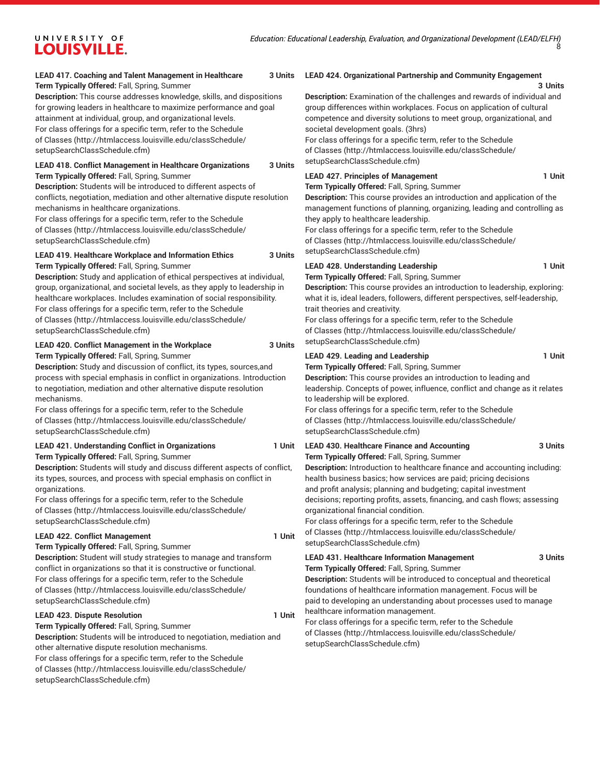#### **LEAD 417. Coaching and Talent Management in Healthcare 3 Units Term Typically Offered:** Fall, Spring, Summer

**Description:** This course addresses knowledge, skills, and dispositions for growing leaders in healthcare to maximize performance and goal attainment at individual, group, and organizational levels. For class offerings for a specific term, refer to the [Schedule](http://htmlaccess.louisville.edu/classSchedule/setupSearchClassSchedule.cfm) [of Classes \(http://htmlaccess.louisville.edu/classSchedule/](http://htmlaccess.louisville.edu/classSchedule/setupSearchClassSchedule.cfm) [setupSearchClassSchedule.cfm\)](http://htmlaccess.louisville.edu/classSchedule/setupSearchClassSchedule.cfm)

#### **LEAD 418. Conflict Management in Healthcare Organizations 3 Units Term Typically Offered:** Fall, Spring, Summer

**Description:** Students will be introduced to different aspects of conflicts, negotiation, mediation and other alternative dispute resolution mechanisms in healthcare organizations.

For class offerings for a specific term, refer to the [Schedule](http://htmlaccess.louisville.edu/classSchedule/setupSearchClassSchedule.cfm) [of Classes \(http://htmlaccess.louisville.edu/classSchedule/](http://htmlaccess.louisville.edu/classSchedule/setupSearchClassSchedule.cfm) [setupSearchClassSchedule.cfm\)](http://htmlaccess.louisville.edu/classSchedule/setupSearchClassSchedule.cfm)

**LEAD 419. Healthcare Workplace and Information Ethics 3 Units Term Typically Offered:** Fall, Spring, Summer

**Description:** Study and application of ethical perspectives at individual, group, organizational, and societal levels, as they apply to leadership in healthcare workplaces. Includes examination of social responsibility. For class offerings for a specific term, refer to the [Schedule](http://htmlaccess.louisville.edu/classSchedule/setupSearchClassSchedule.cfm) [of Classes \(http://htmlaccess.louisville.edu/classSchedule/](http://htmlaccess.louisville.edu/classSchedule/setupSearchClassSchedule.cfm) [setupSearchClassSchedule.cfm\)](http://htmlaccess.louisville.edu/classSchedule/setupSearchClassSchedule.cfm)

# **LEAD 420. Conflict Management in the Workplace 3 Units**

**Term Typically Offered:** Fall, Spring, Summer

**Description:** Study and discussion of conflict, its types, sources,and process with special emphasis in conflict in organizations. Introduction to negotiation, mediation and other alternative dispute resolution mechanisms.

For class offerings for a specific term, refer to the [Schedule](http://htmlaccess.louisville.edu/classSchedule/setupSearchClassSchedule.cfm) [of Classes \(http://htmlaccess.louisville.edu/classSchedule/](http://htmlaccess.louisville.edu/classSchedule/setupSearchClassSchedule.cfm) [setupSearchClassSchedule.cfm\)](http://htmlaccess.louisville.edu/classSchedule/setupSearchClassSchedule.cfm)

#### **LEAD 421. Understanding Conflict in Organizations 1 Unit Term Typically Offered:** Fall, Spring, Summer

**Description:** Students will study and discuss different aspects of conflict, its types, sources, and process with special emphasis on conflict in organizations.

For class offerings for a specific term, refer to the [Schedule](http://htmlaccess.louisville.edu/classSchedule/setupSearchClassSchedule.cfm) [of Classes \(http://htmlaccess.louisville.edu/classSchedule/](http://htmlaccess.louisville.edu/classSchedule/setupSearchClassSchedule.cfm) [setupSearchClassSchedule.cfm\)](http://htmlaccess.louisville.edu/classSchedule/setupSearchClassSchedule.cfm)

# LEAD 422. Conflict Management 1 Unit

**Term Typically Offered:** Fall, Spring, Summer

**Description:** Student will study strategies to manage and transform conflict in organizations so that it is constructive or functional. For class offerings for a specific term, refer to the [Schedule](http://htmlaccess.louisville.edu/classSchedule/setupSearchClassSchedule.cfm) [of Classes \(http://htmlaccess.louisville.edu/classSchedule/](http://htmlaccess.louisville.edu/classSchedule/setupSearchClassSchedule.cfm) [setupSearchClassSchedule.cfm\)](http://htmlaccess.louisville.edu/classSchedule/setupSearchClassSchedule.cfm)

#### LEAD 423. Dispute Resolution **1** Unit

**Term Typically Offered:** Fall, Spring, Summer **Description:** Students will be introduced to negotiation, mediation and other alternative dispute resolution mechanisms. For class offerings for a specific term, refer to the [Schedule](http://htmlaccess.louisville.edu/classSchedule/setupSearchClassSchedule.cfm) [of Classes \(http://htmlaccess.louisville.edu/classSchedule/](http://htmlaccess.louisville.edu/classSchedule/setupSearchClassSchedule.cfm) [setupSearchClassSchedule.cfm\)](http://htmlaccess.louisville.edu/classSchedule/setupSearchClassSchedule.cfm)

#### **LEAD 424. Organizational Partnership and Community Engagement**

#### **3 Units**

**Description:** Examination of the challenges and rewards of individual and group differences within workplaces. Focus on application of cultural competence and diversity solutions to meet group, organizational, and societal development goals. (3hrs)

For class offerings for a specific term, refer to the [Schedule](http://htmlaccess.louisville.edu/classSchedule/setupSearchClassSchedule.cfm) [of Classes](http://htmlaccess.louisville.edu/classSchedule/setupSearchClassSchedule.cfm) ([http://htmlaccess.louisville.edu/classSchedule/](http://htmlaccess.louisville.edu/classSchedule/setupSearchClassSchedule.cfm) [setupSearchClassSchedule.cfm\)](http://htmlaccess.louisville.edu/classSchedule/setupSearchClassSchedule.cfm)

### LEAD 427. Principles of Management 1 Unit

**Term Typically Offered:** Fall, Spring, Summer

**Description:** This course provides an introduction and application of the management functions of planning, organizing, leading and controlling as they apply to healthcare leadership.

For class offerings for a specific term, refer to the [Schedule](http://htmlaccess.louisville.edu/classSchedule/setupSearchClassSchedule.cfm) [of Classes](http://htmlaccess.louisville.edu/classSchedule/setupSearchClassSchedule.cfm) ([http://htmlaccess.louisville.edu/classSchedule/](http://htmlaccess.louisville.edu/classSchedule/setupSearchClassSchedule.cfm) [setupSearchClassSchedule.cfm\)](http://htmlaccess.louisville.edu/classSchedule/setupSearchClassSchedule.cfm)

### LEAD 428. Understanding Leadership **1 Unit**

**Term Typically Offered:** Fall, Spring, Summer

**Description:** This course provides an introduction to leadership, exploring: what it is, ideal leaders, followers, different perspectives, self-leadership, trait theories and creativity.

For class offerings for a specific term, refer to the [Schedule](http://htmlaccess.louisville.edu/classSchedule/setupSearchClassSchedule.cfm) [of Classes](http://htmlaccess.louisville.edu/classSchedule/setupSearchClassSchedule.cfm) ([http://htmlaccess.louisville.edu/classSchedule/](http://htmlaccess.louisville.edu/classSchedule/setupSearchClassSchedule.cfm) [setupSearchClassSchedule.cfm\)](http://htmlaccess.louisville.edu/classSchedule/setupSearchClassSchedule.cfm)

### LEAD 429. Leading and Leadership **1** Unit

**Term Typically Offered:** Fall, Spring, Summer **Description:** This course provides an introduction to leading and leadership. Concepts of power, influence, conflict and change as it relates to leadership will be explored.

For class offerings for a specific term, refer to the [Schedule](http://htmlaccess.louisville.edu/classSchedule/setupSearchClassSchedule.cfm) [of Classes](http://htmlaccess.louisville.edu/classSchedule/setupSearchClassSchedule.cfm) ([http://htmlaccess.louisville.edu/classSchedule/](http://htmlaccess.louisville.edu/classSchedule/setupSearchClassSchedule.cfm) [setupSearchClassSchedule.cfm\)](http://htmlaccess.louisville.edu/classSchedule/setupSearchClassSchedule.cfm)

# **LEAD 430. Healthcare Finance and Accounting 3 Units Term Typically Offered:** Fall, Spring, Summer

**Description:** Introduction to healthcare finance and accounting including: health business basics; how services are paid; pricing decisions and profit analysis; planning and budgeting; capital investment decisions; reporting profits, assets, financing, and cash flows; assessing organizational financial condition. For class offerings for a specific term, refer to the [Schedule](http://htmlaccess.louisville.edu/classSchedule/setupSearchClassSchedule.cfm)

[of Classes](http://htmlaccess.louisville.edu/classSchedule/setupSearchClassSchedule.cfm) ([http://htmlaccess.louisville.edu/classSchedule/](http://htmlaccess.louisville.edu/classSchedule/setupSearchClassSchedule.cfm) [setupSearchClassSchedule.cfm\)](http://htmlaccess.louisville.edu/classSchedule/setupSearchClassSchedule.cfm)

#### **LEAD 431. Healthcare Information Management 3 Units Term Typically Offered:** Fall, Spring, Summer

**Description:** Students will be introduced to conceptual and theoretical foundations of healthcare information management. Focus will be paid to developing an understanding about processes used to manage healthcare information management.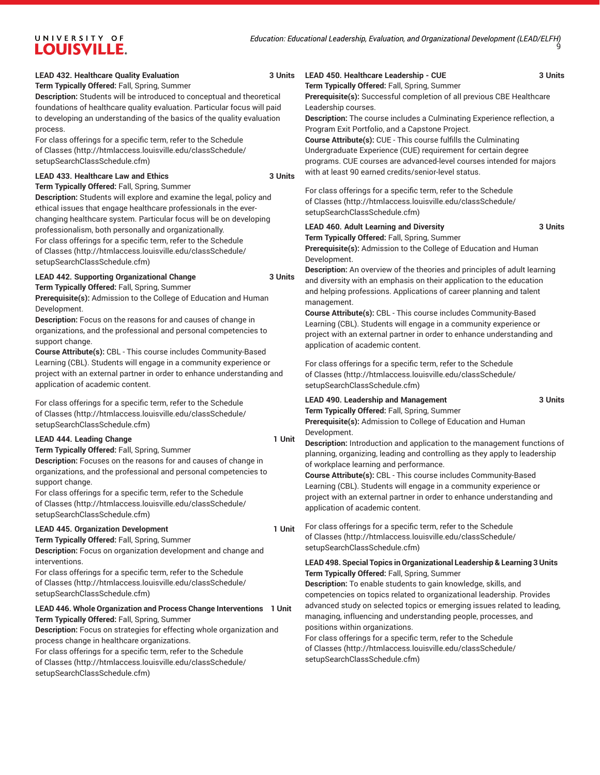#### **LEAD 432. Healthcare Quality Evaluation 3 Units**

**Term Typically Offered:** Fall, Spring, Summer

**Description:** Students will be introduced to conceptual and theoretical foundations of healthcare quality evaluation. Particular focus will paid to developing an understanding of the basics of the quality evaluation process.

For class offerings for a specific term, refer to the [Schedule](http://htmlaccess.louisville.edu/classSchedule/setupSearchClassSchedule.cfm) [of Classes \(http://htmlaccess.louisville.edu/classSchedule/](http://htmlaccess.louisville.edu/classSchedule/setupSearchClassSchedule.cfm) [setupSearchClassSchedule.cfm\)](http://htmlaccess.louisville.edu/classSchedule/setupSearchClassSchedule.cfm)

#### **LEAD 433. Healthcare Law and Ethics 3 Units**

**Term Typically Offered:** Fall, Spring, Summer

**Description:** Students will explore and examine the legal, policy and ethical issues that engage healthcare professionals in the everchanging healthcare system. Particular focus will be on developing professionalism, both personally and organizationally.

For class offerings for a specific term, refer to the [Schedule](http://htmlaccess.louisville.edu/classSchedule/setupSearchClassSchedule.cfm) [of Classes \(http://htmlaccess.louisville.edu/classSchedule/](http://htmlaccess.louisville.edu/classSchedule/setupSearchClassSchedule.cfm) [setupSearchClassSchedule.cfm\)](http://htmlaccess.louisville.edu/classSchedule/setupSearchClassSchedule.cfm)

# **LEAD 442. Supporting Organizational Change 3 Units**

**Term Typically Offered:** Fall, Spring, Summer

**Prerequisite(s):** Admission to the College of Education and Human Development.

**Description:** Focus on the reasons for and causes of change in organizations, and the professional and personal competencies to support change.

**Course Attribute(s):** CBL - This course includes Community-Based Learning (CBL). Students will engage in a community experience or project with an external partner in order to enhance understanding and application of academic content.

For class offerings for a specific term, refer to the [Schedule](http://htmlaccess.louisville.edu/classSchedule/setupSearchClassSchedule.cfm) [of Classes \(http://htmlaccess.louisville.edu/classSchedule/](http://htmlaccess.louisville.edu/classSchedule/setupSearchClassSchedule.cfm) [setupSearchClassSchedule.cfm\)](http://htmlaccess.louisville.edu/classSchedule/setupSearchClassSchedule.cfm)

#### LEAD 444. Leading Change **1 Unit**

**Term Typically Offered:** Fall, Spring, Summer **Description:** Focuses on the reasons for and causes of change in organizations, and the professional and personal competencies to support change.

For class offerings for a specific term, refer to the [Schedule](http://htmlaccess.louisville.edu/classSchedule/setupSearchClassSchedule.cfm) [of Classes \(http://htmlaccess.louisville.edu/classSchedule/](http://htmlaccess.louisville.edu/classSchedule/setupSearchClassSchedule.cfm) [setupSearchClassSchedule.cfm\)](http://htmlaccess.louisville.edu/classSchedule/setupSearchClassSchedule.cfm)

#### **LEAD 445. Organization Development 1 Unit**

**Term Typically Offered:** Fall, Spring, Summer **Description:** Focus on organization development and change and interventions.

For class offerings for a specific term, refer to the [Schedule](http://htmlaccess.louisville.edu/classSchedule/setupSearchClassSchedule.cfm) [of Classes \(http://htmlaccess.louisville.edu/classSchedule/](http://htmlaccess.louisville.edu/classSchedule/setupSearchClassSchedule.cfm) [setupSearchClassSchedule.cfm\)](http://htmlaccess.louisville.edu/classSchedule/setupSearchClassSchedule.cfm)

# **LEAD 446. Whole Organization and Process Change Interventions 1 Unit**

**Term Typically Offered:** Fall, Spring, Summer

**Description:** Focus on strategies for effecting whole organization and process change in healthcare organizations.

For class offerings for a specific term, refer to the [Schedule](http://htmlaccess.louisville.edu/classSchedule/setupSearchClassSchedule.cfm) [of Classes \(http://htmlaccess.louisville.edu/classSchedule/](http://htmlaccess.louisville.edu/classSchedule/setupSearchClassSchedule.cfm) [setupSearchClassSchedule.cfm\)](http://htmlaccess.louisville.edu/classSchedule/setupSearchClassSchedule.cfm)

# **LEAD 450. Healthcare Leadership - CUE 3 Units**

**Term Typically Offered:** Fall, Spring, Summer

**Prerequisite(s):** Successful completion of all previous CBE Healthcare Leadership courses.

**Description:** The course includes a Culminating Experience reflection, a Program Exit Portfolio, and a Capstone Project.

**Course Attribute(s):** CUE - This course fulfills the Culminating Undergraduate Experience (CUE) requirement for certain degree programs. CUE courses are advanced-level courses intended for majors with at least 90 earned credits/senior-level status.

For class offerings for a specific term, refer to the [Schedule](http://htmlaccess.louisville.edu/classSchedule/setupSearchClassSchedule.cfm) [of Classes](http://htmlaccess.louisville.edu/classSchedule/setupSearchClassSchedule.cfm) ([http://htmlaccess.louisville.edu/classSchedule/](http://htmlaccess.louisville.edu/classSchedule/setupSearchClassSchedule.cfm) [setupSearchClassSchedule.cfm\)](http://htmlaccess.louisville.edu/classSchedule/setupSearchClassSchedule.cfm)

### **LEAD 460. Adult Learning and Diversity 3 Units**

**Term Typically Offered:** Fall, Spring, Summer

**Prerequisite(s):** Admission to the College of Education and Human Development.

**Description:** An overview of the theories and principles of adult learning and diversity with an emphasis on their application to the education and helping professions. Applications of career planning and talent management.

**Course Attribute(s):** CBL - This course includes Community-Based Learning (CBL). Students will engage in a community experience or project with an external partner in order to enhance understanding and application of academic content.

For class offerings for a specific term, refer to the [Schedule](http://htmlaccess.louisville.edu/classSchedule/setupSearchClassSchedule.cfm) [of Classes](http://htmlaccess.louisville.edu/classSchedule/setupSearchClassSchedule.cfm) ([http://htmlaccess.louisville.edu/classSchedule/](http://htmlaccess.louisville.edu/classSchedule/setupSearchClassSchedule.cfm) [setupSearchClassSchedule.cfm\)](http://htmlaccess.louisville.edu/classSchedule/setupSearchClassSchedule.cfm)

# **LEAD 490. Leadership and Management 3 Units**

**Term Typically Offered:** Fall, Spring, Summer **Prerequisite(s):** Admission to College of Education and Human Development.

**Description:** Introduction and application to the management functions of planning, organizing, leading and controlling as they apply to leadership of workplace learning and performance.

**Course Attribute(s):** CBL - This course includes Community-Based Learning (CBL). Students will engage in a community experience or project with an external partner in order to enhance understanding and application of academic content.

For class offerings for a specific term, refer to the [Schedule](http://htmlaccess.louisville.edu/classSchedule/setupSearchClassSchedule.cfm) [of Classes](http://htmlaccess.louisville.edu/classSchedule/setupSearchClassSchedule.cfm) ([http://htmlaccess.louisville.edu/classSchedule/](http://htmlaccess.louisville.edu/classSchedule/setupSearchClassSchedule.cfm) [setupSearchClassSchedule.cfm\)](http://htmlaccess.louisville.edu/classSchedule/setupSearchClassSchedule.cfm)

#### **LEAD 498. Special Topics inOrganizational Leadership & Learning 3 Units Term Typically Offered:** Fall, Spring, Summer

**Description:** To enable students to gain knowledge, skills, and competencies on topics related to organizational leadership. Provides advanced study on selected topics or emerging issues related to leading, managing, influencing and understanding people, processes, and positions within organizations.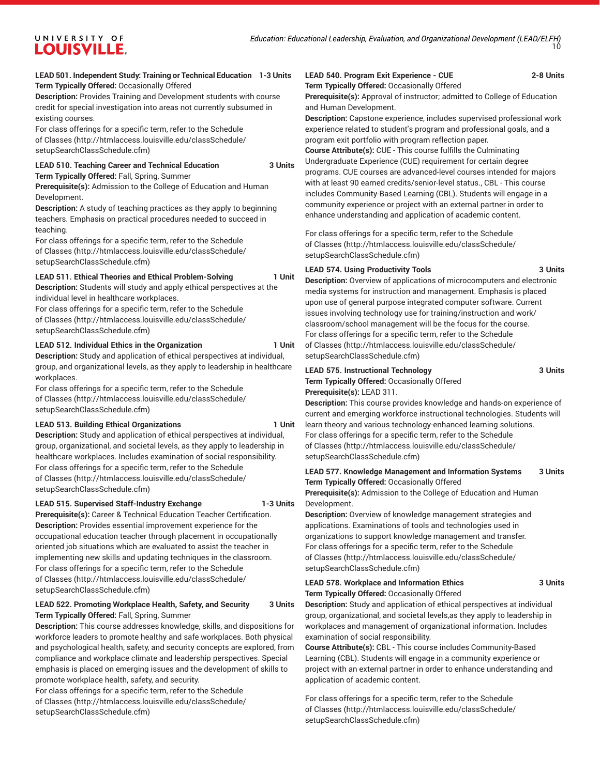# **LEAD 501. Independent Study: Training or Technical Education 1-3 Units Term Typically Offered:** Occasionally Offered

**Description:** Provides Training and Development students with course credit for special investigation into areas not currently subsumed in existing courses.

For class offerings for a specific term, refer to the [Schedule](http://htmlaccess.louisville.edu/classSchedule/setupSearchClassSchedule.cfm) [of Classes \(http://htmlaccess.louisville.edu/classSchedule/](http://htmlaccess.louisville.edu/classSchedule/setupSearchClassSchedule.cfm) [setupSearchClassSchedule.cfm\)](http://htmlaccess.louisville.edu/classSchedule/setupSearchClassSchedule.cfm)

#### **LEAD 510. Teaching Career and Technical Education 3 Units Term Typically Offered:** Fall, Spring, Summer

UNIVERSITY OF **LOUISVILLE.** 

# **Prerequisite(s):** Admission to the College of Education and Human

Development. **Description:** A study of teaching practices as they apply to beginning

teachers. Emphasis on practical procedures needed to succeed in teaching.

For class offerings for a specific term, refer to the [Schedule](http://htmlaccess.louisville.edu/classSchedule/setupSearchClassSchedule.cfm) [of Classes \(http://htmlaccess.louisville.edu/classSchedule/](http://htmlaccess.louisville.edu/classSchedule/setupSearchClassSchedule.cfm) [setupSearchClassSchedule.cfm\)](http://htmlaccess.louisville.edu/classSchedule/setupSearchClassSchedule.cfm)

# **LEAD 511. Ethical Theories and Ethical Problem-Solving 1 Unit**

**Description:** Students will study and apply ethical perspectives at the individual level in healthcare workplaces.

For class offerings for a specific term, refer to the [Schedule](http://htmlaccess.louisville.edu/classSchedule/setupSearchClassSchedule.cfm) [of Classes \(http://htmlaccess.louisville.edu/classSchedule/](http://htmlaccess.louisville.edu/classSchedule/setupSearchClassSchedule.cfm) [setupSearchClassSchedule.cfm\)](http://htmlaccess.louisville.edu/classSchedule/setupSearchClassSchedule.cfm)

# LEAD 512. Individual Ethics in the Organization 1 Unit

**Description:** Study and application of ethical perspectives at individual, group, and organizational levels, as they apply to leadership in healthcare workplaces.

For class offerings for a specific term, refer to the [Schedule](http://htmlaccess.louisville.edu/classSchedule/setupSearchClassSchedule.cfm) [of Classes \(http://htmlaccess.louisville.edu/classSchedule/](http://htmlaccess.louisville.edu/classSchedule/setupSearchClassSchedule.cfm) [setupSearchClassSchedule.cfm\)](http://htmlaccess.louisville.edu/classSchedule/setupSearchClassSchedule.cfm)

# LEAD 513. Building Ethical Organizations **1** Unit

**Description:** Study and application of ethical perspectives at individual, group, organizational, and societal levels, as they apply to leadership in healthcare workplaces. Includes examination of social responsibility. For class offerings for a specific term, refer to the [Schedule](http://htmlaccess.louisville.edu/classSchedule/setupSearchClassSchedule.cfm) [of Classes \(http://htmlaccess.louisville.edu/classSchedule/](http://htmlaccess.louisville.edu/classSchedule/setupSearchClassSchedule.cfm) [setupSearchClassSchedule.cfm\)](http://htmlaccess.louisville.edu/classSchedule/setupSearchClassSchedule.cfm)

# **LEAD 515. Supervised Staff-Industry Exchange 1-3 Units**

**Prerequisite(s):** Career & Technical Education Teacher Certification. **Description:** Provides essential improvement experience for the occupational education teacher through placement in occupationally oriented job situations which are evaluated to assist the teacher in implementing new skills and updating techniques in the classroom. For class offerings for a specific term, refer to the [Schedule](http://htmlaccess.louisville.edu/classSchedule/setupSearchClassSchedule.cfm) [of Classes \(http://htmlaccess.louisville.edu/classSchedule/](http://htmlaccess.louisville.edu/classSchedule/setupSearchClassSchedule.cfm) [setupSearchClassSchedule.cfm\)](http://htmlaccess.louisville.edu/classSchedule/setupSearchClassSchedule.cfm)

# **LEAD 522. Promoting Workplace Health, Safety, and Security 3 Units Term Typically Offered:** Fall, Spring, Summer

**Description:** This course addresses knowledge, skills, and dispositions for workforce leaders to promote healthy and safe workplaces. Both physical and psychological health, safety, and security concepts are explored, from compliance and workplace climate and leadership perspectives. Special emphasis is placed on emerging issues and the development of skills to promote workplace health, safety, and security.

For class offerings for a specific term, refer to the [Schedule](http://htmlaccess.louisville.edu/classSchedule/setupSearchClassSchedule.cfm) [of Classes \(http://htmlaccess.louisville.edu/classSchedule/](http://htmlaccess.louisville.edu/classSchedule/setupSearchClassSchedule.cfm) [setupSearchClassSchedule.cfm\)](http://htmlaccess.louisville.edu/classSchedule/setupSearchClassSchedule.cfm)

# **LEAD 540. Program Exit Experience - CUE 2-8 Units**

**Term Typically Offered:** Occasionally Offered

**Prerequisite(s):** Approval of instructor; admitted to College of Education and Human Development.

**Description:** Capstone experience, includes supervised professional work experience related to student's program and professional goals, and a program exit portfolio with program reflection paper.

**Course Attribute(s):** CUE - This course fulfills the Culminating Undergraduate Experience (CUE) requirement for certain degree programs. CUE courses are advanced-level courses intended for majors with at least 90 earned credits/senior-level status., CBL - This course includes Community-Based Learning (CBL). Students will engage in a community experience or project with an external partner in order to enhance understanding and application of academic content.

For class offerings for a specific term, refer to the [Schedule](http://htmlaccess.louisville.edu/classSchedule/setupSearchClassSchedule.cfm) [of Classes](http://htmlaccess.louisville.edu/classSchedule/setupSearchClassSchedule.cfm) ([http://htmlaccess.louisville.edu/classSchedule/](http://htmlaccess.louisville.edu/classSchedule/setupSearchClassSchedule.cfm) [setupSearchClassSchedule.cfm\)](http://htmlaccess.louisville.edu/classSchedule/setupSearchClassSchedule.cfm)

# **LEAD 574. Using Productivity Tools 3 Units**

**Description:** Overview of applications of microcomputers and electronic media systems for instruction and management. Emphasis is placed upon use of general purpose integrated computer software. Current issues involving technology use for training/instruction and work/ classroom/school management will be the focus for the course. For class offerings for a specific term, refer to the [Schedule](http://htmlaccess.louisville.edu/classSchedule/setupSearchClassSchedule.cfm) [of Classes](http://htmlaccess.louisville.edu/classSchedule/setupSearchClassSchedule.cfm) ([http://htmlaccess.louisville.edu/classSchedule/](http://htmlaccess.louisville.edu/classSchedule/setupSearchClassSchedule.cfm) [setupSearchClassSchedule.cfm\)](http://htmlaccess.louisville.edu/classSchedule/setupSearchClassSchedule.cfm)

# **LEAD 575. Instructional Technology 3 Units**

**Term Typically Offered:** Occasionally Offered **Prerequisite(s):** LEAD 311.

**Description:** This course provides knowledge and hands-on experience of current and emerging workforce instructional technologies. Students will learn theory and various technology-enhanced learning solutions. For class offerings for a specific term, refer to the [Schedule](http://htmlaccess.louisville.edu/classSchedule/setupSearchClassSchedule.cfm) [of Classes](http://htmlaccess.louisville.edu/classSchedule/setupSearchClassSchedule.cfm) ([http://htmlaccess.louisville.edu/classSchedule/](http://htmlaccess.louisville.edu/classSchedule/setupSearchClassSchedule.cfm) [setupSearchClassSchedule.cfm\)](http://htmlaccess.louisville.edu/classSchedule/setupSearchClassSchedule.cfm)

### **LEAD 577. Knowledge Management and Information Systems 3 Units Term Typically Offered:** Occasionally Offered

**Prerequisite(s):** Admission to the College of Education and Human Development.

**Description:** Overview of knowledge management strategies and applications. Examinations of tools and technologies used in organizations to support knowledge management and transfer. For class offerings for a specific term, refer to the [Schedule](http://htmlaccess.louisville.edu/classSchedule/setupSearchClassSchedule.cfm) [of Classes](http://htmlaccess.louisville.edu/classSchedule/setupSearchClassSchedule.cfm) ([http://htmlaccess.louisville.edu/classSchedule/](http://htmlaccess.louisville.edu/classSchedule/setupSearchClassSchedule.cfm) [setupSearchClassSchedule.cfm\)](http://htmlaccess.louisville.edu/classSchedule/setupSearchClassSchedule.cfm)

# **LEAD 578. Workplace and Information Ethics 3 Units Term Typically Offered:** Occasionally Offered

**Description:** Study and application of ethical perspectives at individual group, organizational, and societal levels,as they apply to leadership in workplaces and management of organizational information. Includes examination of social responsibility.

**Course Attribute(s):** CBL - This course includes Community-Based Learning (CBL). Students will engage in a community experience or project with an external partner in order to enhance understanding and application of academic content.